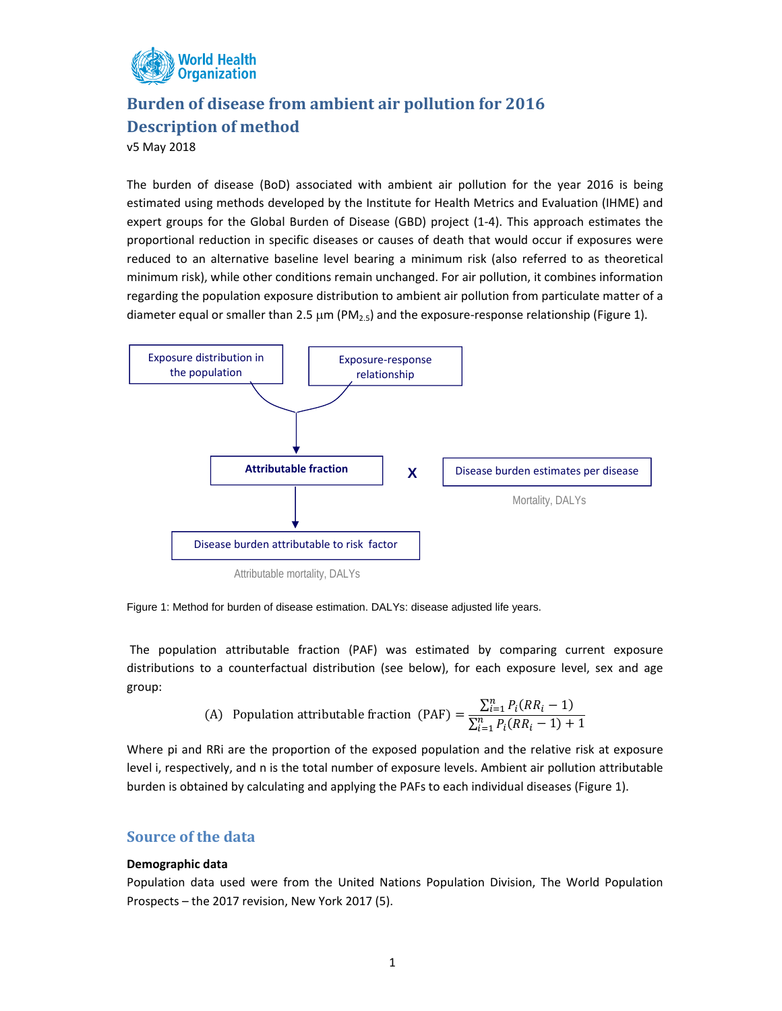

# **Burden of disease from ambient air pollution for 2016 Description of method**

v5 May 2018

The burden of disease (BoD) associated with ambient air pollution for the year 2016 is being estimated using methods developed by the Institute for Health Metrics and Evaluation (IHME) and expert groups for the Global Burden of Disease (GBD) project (1‐4). This approach estimates the proportional reduction in specific diseases or causes of death that would occur if exposures were reduced to an alternative baseline level bearing a minimum risk (also referred to as theoretical minimum risk), while other conditions remain unchanged. For air pollution, it combines information regarding the population exposure distribution to ambient air pollution from particulate matter of a diameter equal or smaller than 2.5  $\mu$ m (PM<sub>2.5</sub>) and the exposure-response relationship (Figure 1).



Figure 1: Method for burden of disease estimation. DALYs: disease adjusted life years.

The population attributable fraction (PAF) was estimated by comparing current exposure distributions to a counterfactual distribution (see below), for each exposure level, sex and age group:

(A) Population attributeable fraction (PAF) = 
$$
\frac{\sum_{i=1}^{n} P_i (RR_i - 1)}{\sum_{i=1}^{n} P_i (RR_i - 1) + 1}
$$

Where pi and RRi are the proportion of the exposed population and the relative risk at exposure level i, respectively, and n is the total number of exposure levels. Ambient air pollution attributable burden is obtained by calculating and applying the PAFs to each individual diseases (Figure 1).

# **Source of the data**

### **Demographic data**

Population data used were from the United Nations Population Division, The World Population Prospects – the 2017 revision, New York 2017 (5).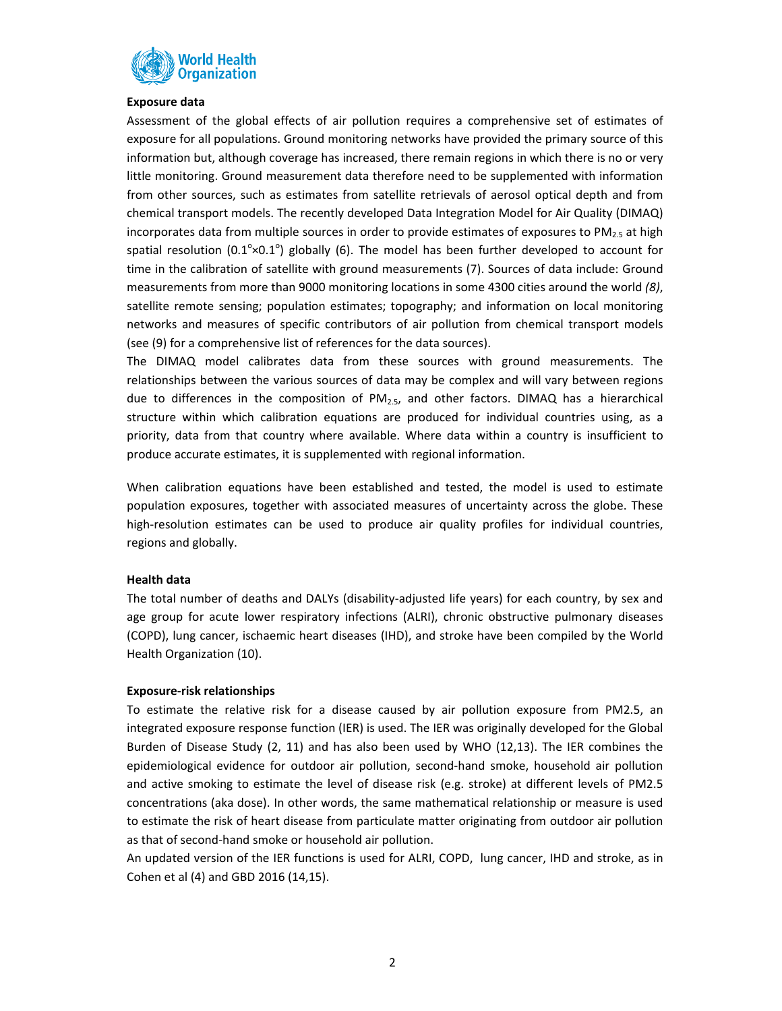

#### **Exposure data**

Assessment of the global effects of air pollution requires a comprehensive set of estimates of exposure for all populations. Ground monitoring networks have provided the primary source of this information but, although coverage has increased, there remain regions in which there is no or very little monitoring. Ground measurement data therefore need to be supplemented with information from other sources, such as estimates from satellite retrievals of aerosol optical depth and from chemical transport models. The recently developed Data Integration Model for Air Quality (DIMAQ) incorporates data from multiple sources in order to provide estimates of exposures to  $PM_{2.5}$  at high spatial resolution (0.1 $^{\circ}$ ×0.1 $^{\circ}$ ) globally (6). The model has been further developed to account for time in the calibration of satellite with ground measurements (7). Sources of data include: Ground measurements from more than 9000 monitoring locations in some 4300 cities around the world *(8)*, satellite remote sensing; population estimates; topography; and information on local monitoring networks and measures of specific contributors of air pollution from chemical transport models (see (9) for a comprehensive list of references for the data sources).

The DIMAQ model calibrates data from these sources with ground measurements. The relationships between the various sources of data may be complex and will vary between regions due to differences in the composition of  $PM<sub>2.5</sub>$ , and other factors. DIMAQ has a hierarchical structure within which calibration equations are produced for individual countries using, as a priority, data from that country where available. Where data within a country is insufficient to produce accurate estimates, it is supplemented with regional information.

When calibration equations have been established and tested, the model is used to estimate population exposures, together with associated measures of uncertainty across the globe. These high-resolution estimates can be used to produce air quality profiles for individual countries, regions and globally.

#### **Health data**

The total number of deaths and DALYs (disability-adjusted life years) for each country, by sex and age group for acute lower respiratory infections (ALRI), chronic obstructive pulmonary diseases (COPD), lung cancer, ischaemic heart diseases (IHD), and stroke have been compiled by the World Health Organization (10).

#### **Exposure‐risk relationships**

To estimate the relative risk for a disease caused by air pollution exposure from PM2.5, an integrated exposure response function (IER) is used. The IER was originally developed for the Global Burden of Disease Study (2, 11) and has also been used by WHO (12,13). The IER combines the epidemiological evidence for outdoor air pollution, second‐hand smoke, household air pollution and active smoking to estimate the level of disease risk (e.g. stroke) at different levels of PM2.5 concentrations (aka dose). In other words, the same mathematical relationship or measure is used to estimate the risk of heart disease from particulate matter originating from outdoor air pollution as that of second‐hand smoke or household air pollution.

An updated version of the IER functions is used for ALRI, COPD, lung cancer, IHD and stroke, as in Cohen et al (4) and GBD 2016 (14,15).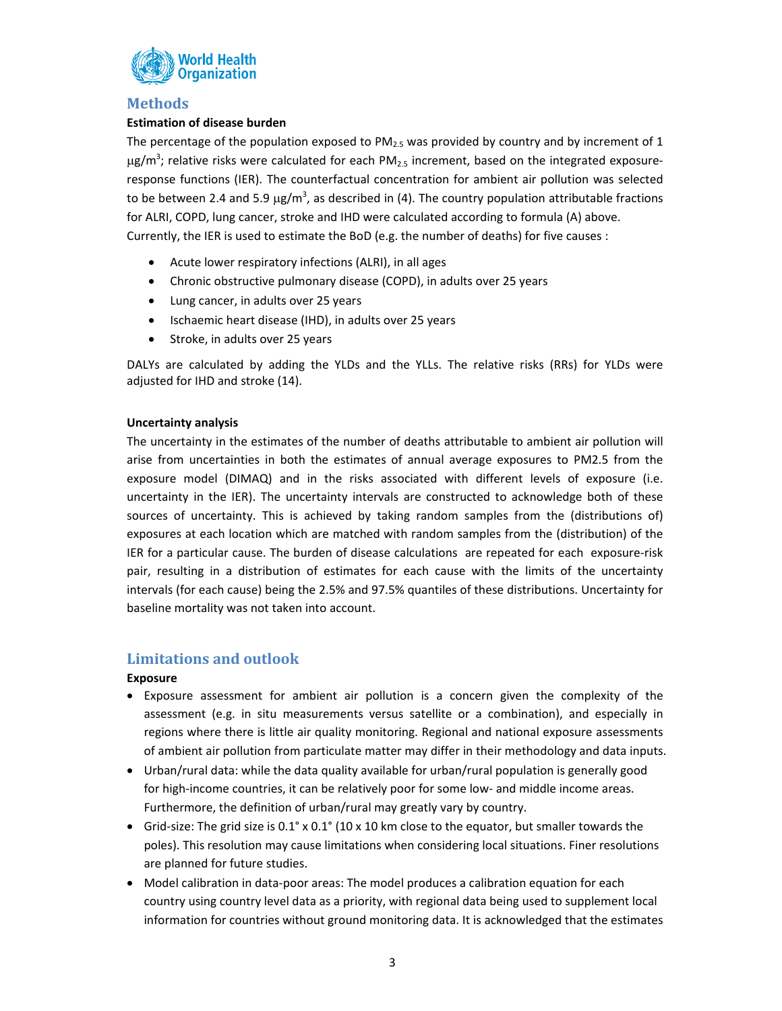

# **Methods**

## **Estimation of disease burden**

The percentage of the population exposed to  $PM_{2.5}$  was provided by country and by increment of 1  $\mu$ g/m<sup>3</sup>; relative risks were calculated for each PM<sub>2.5</sub> increment, based on the integrated exposureresponse functions (IER). The counterfactual concentration for ambient air pollution was selected to be between 2.4 and 5.9  $\mu$ g/m<sup>3</sup>, as described in (4). The country population attributable fractions for ALRI, COPD, lung cancer, stroke and IHD were calculated according to formula (A) above. Currently, the IER is used to estimate the BoD (e.g. the number of deaths) for five causes :

- Acute lower respiratory infections (ALRI), in all ages
- Chronic obstructive pulmonary disease (COPD), in adults over 25 years
- Lung cancer, in adults over 25 years
- Ischaemic heart disease (IHD), in adults over 25 years
- Stroke, in adults over 25 years

DALYs are calculated by adding the YLDs and the YLLs. The relative risks (RRs) for YLDs were adjusted for IHD and stroke (14).

### **Uncertainty analysis**

The uncertainty in the estimates of the number of deaths attributable to ambient air pollution will arise from uncertainties in both the estimates of annual average exposures to PM2.5 from the exposure model (DIMAQ) and in the risks associated with different levels of exposure (i.e. uncertainty in the IER). The uncertainty intervals are constructed to acknowledge both of these sources of uncertainty. This is achieved by taking random samples from the (distributions of) exposures at each location which are matched with random samples from the (distribution) of the IER for a particular cause. The burden of disease calculations are repeated for each exposure‐risk pair, resulting in a distribution of estimates for each cause with the limits of the uncertainty intervals (for each cause) being the 2.5% and 97.5% quantiles of these distributions. Uncertainty for baseline mortality was not taken into account.

# **Limitations and outlook**

## **Exposure**

- Exposure assessment for ambient air pollution is a concern given the complexity of the assessment (e.g. in situ measurements versus satellite or a combination), and especially in regions where there is little air quality monitoring. Regional and national exposure assessments of ambient air pollution from particulate matter may differ in their methodology and data inputs.
- Urban/rural data: while the data quality available for urban/rural population is generally good for high-income countries, it can be relatively poor for some low- and middle income areas. Furthermore, the definition of urban/rural may greatly vary by country.
- Grid-size: The grid size is 0.1° x 0.1° (10 x 10 km close to the equator, but smaller towards the poles). This resolution may cause limitations when considering local situations. Finer resolutions are planned for future studies.
- Model calibration in data-poor areas: The model produces a calibration equation for each country using country level data as a priority, with regional data being used to supplement local information for countries without ground monitoring data. It is acknowledged that the estimates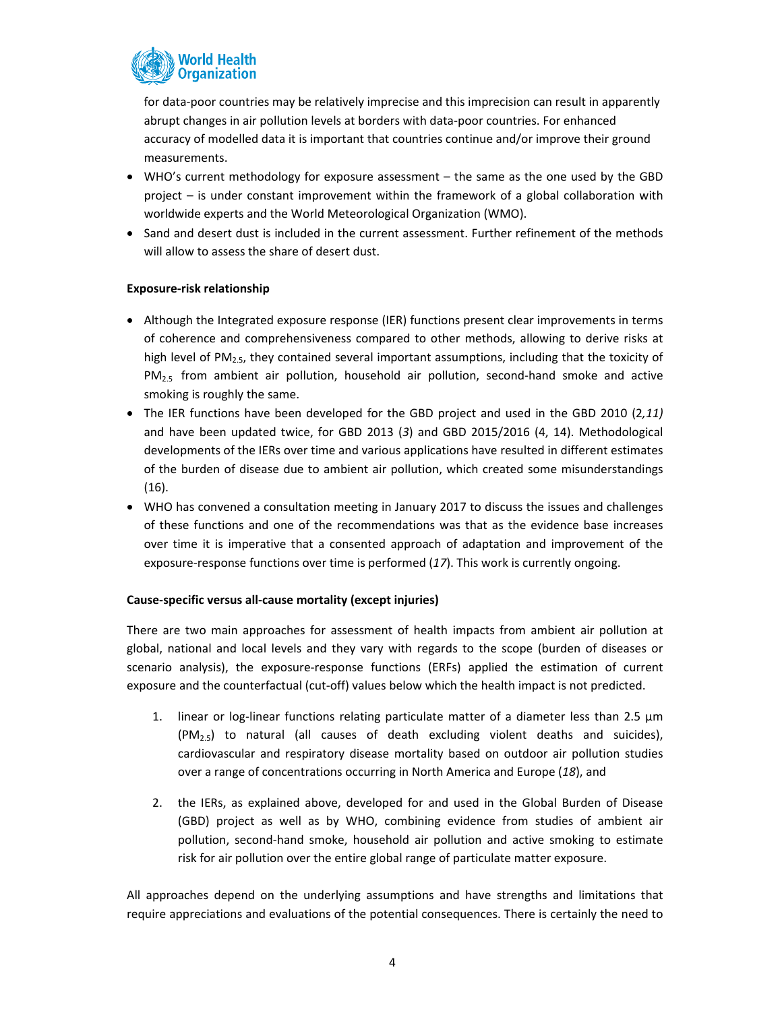

for data‐poor countries may be relatively imprecise and this imprecision can result in apparently abrupt changes in air pollution levels at borders with data‐poor countries. For enhanced accuracy of modelled data it is important that countries continue and/or improve their ground measurements.

- WHO's current methodology for exposure assessment the same as the one used by the GBD project – is under constant improvement within the framework of a global collaboration with worldwide experts and the World Meteorological Organization (WMO).
- Sand and desert dust is included in the current assessment. Further refinement of the methods will allow to assess the share of desert dust.

### **Exposure‐risk relationship**

- Although the Integrated exposure response (IER) functions present clear improvements in terms of coherence and comprehensiveness compared to other methods, allowing to derive risks at high level of PM<sub>2.5</sub>, they contained several important assumptions, including that the toxicity of  $PM_{2.5}$  from ambient air pollution, household air pollution, second-hand smoke and active smoking is roughly the same.
- The IER functions have been developed for the GBD project and used in the GBD 2010 (2*,11)* and have been updated twice, for GBD 2013 (*3*) and GBD 2015/2016 (4, 14). Methodological developments of the IERs over time and various applications have resulted in different estimates of the burden of disease due to ambient air pollution, which created some misunderstandings (16).
- WHO has convened a consultation meeting in January 2017 to discuss the issues and challenges of these functions and one of the recommendations was that as the evidence base increases over time it is imperative that a consented approach of adaptation and improvement of the exposure-response functions over time is performed (17). This work is currently ongoing.

### **Cause‐specific versus all‐cause mortality (except injuries)**

There are two main approaches for assessment of health impacts from ambient air pollution at global, national and local levels and they vary with regards to the scope (burden of diseases or scenario analysis), the exposure-response functions (ERFs) applied the estimation of current exposure and the counterfactual (cut-off) values below which the health impact is not predicted.

- 1. linear or log-linear functions relating particulate matter of a diameter less than 2.5  $\mu$ m  $(PM<sub>2.5</sub>)$  to natural (all causes of death excluding violent deaths and suicides), cardiovascular and respiratory disease mortality based on outdoor air pollution studies over a range of concentrations occurring in North America and Europe (*18*), and
- 2. the IERs, as explained above, developed for and used in the Global Burden of Disease (GBD) project as well as by WHO, combining evidence from studies of ambient air pollution, second‐hand smoke, household air pollution and active smoking to estimate risk for air pollution over the entire global range of particulate matter exposure.

All approaches depend on the underlying assumptions and have strengths and limitations that require appreciations and evaluations of the potential consequences. There is certainly the need to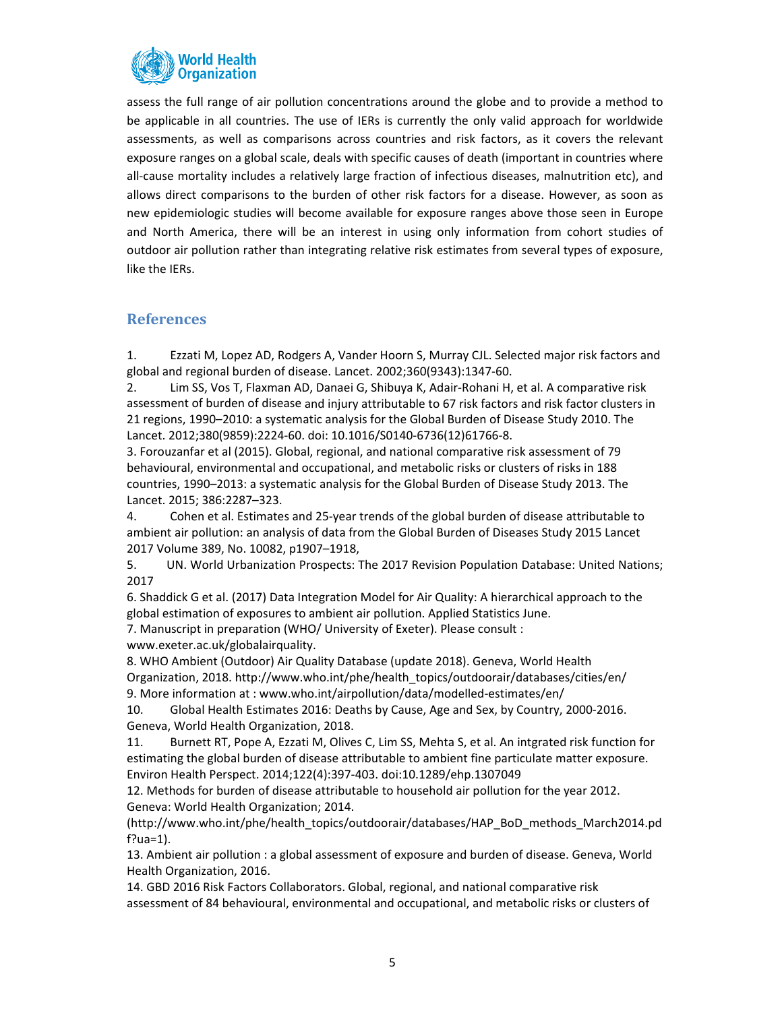

assess the full range of air pollution concentrations around the globe and to provide a method to be applicable in all countries. The use of IERs is currently the only valid approach for worldwide assessments, as well as comparisons across countries and risk factors, as it covers the relevant exposure ranges on a global scale, deals with specific causes of death (important in countries where all-cause mortality includes a relatively large fraction of infectious diseases, malnutrition etc), and allows direct comparisons to the burden of other risk factors for a disease. However, as soon as new epidemiologic studies will become available for exposure ranges above those seen in Europe and North America, there will be an interest in using only information from cohort studies of outdoor air pollution rather than integrating relative risk estimates from several types of exposure, like the IERs.

# **References**

1. Ezzati M, Lopez AD, Rodgers A, Vander Hoorn S, Murray CJL. Selected major risk factors and global and regional burden of disease. Lancet. 2002;360(9343):1347‐60.

2. Lim SS, Vos T, Flaxman AD, Danaei G, Shibuya K, Adair‐Rohani H, et al. A comparative risk assessment of burden of disease and injury attributable to 67 risk factors and risk factor clusters in 21 regions, 1990–2010: a systematic analysis for the Global Burden of Disease Study 2010. The Lancet. 2012;380(9859):2224‐60. doi: 10.1016/S0140‐6736(12)61766‐8.

3. Forouzanfar et al (2015). Global, regional, and national comparative risk assessment of 79 behavioural, environmental and occupational, and metabolic risks or clusters of risks in 188 countries, 1990–2013: a systematic analysis for the Global Burden of Disease Study 2013. The Lancet. 2015; 386:2287–323.

4. Cohen et al. Estimates and 25‐year trends of the global burden of disease attributable to ambient air pollution: an analysis of data from the Global Burden of Diseases Study 2015 Lancet 2017 Volume 389, No. 10082, p1907–1918,

5. UN. World Urbanization Prospects: The 2017 Revision Population Database: United Nations; 2017

6. Shaddick G et al. (2017) Data Integration Model for Air Quality: A hierarchical approach to the global estimation of exposures to ambient air pollution. Applied Statistics June.

7. Manuscript in preparation (WHO/ University of Exeter). Please consult :

www.exeter.ac.uk/globalairquality.

8. WHO Ambient (Outdoor) Air Quality Database (update 2018). Geneva, World Health Organization, 2018. http://www.who.int/phe/health\_topics/outdoorair/databases/cities/en/ 9. More information at : www.who.int/airpollution/data/modelled‐estimates/en/

10. Global Health Estimates 2016: Deaths by Cause, Age and Sex, by Country, 2000‐2016. Geneva, World Health Organization, 2018.

11. Burnett RT, Pope A, Ezzati M, Olives C, Lim SS, Mehta S, et al. An intgrated risk function for estimating the global burden of disease attributable to ambient fine particulate matter exposure. Environ Health Perspect. 2014;122(4):397‐403. doi:10.1289/ehp.1307049

12. Methods for burden of disease attributable to household air pollution for the year 2012. Geneva: World Health Organization; 2014.

(http://www.who.int/phe/health\_topics/outdoorair/databases/HAP\_BoD\_methods\_March2014.pd f?ua= $1$ ).

13. Ambient air pollution : a global assessment of exposure and burden of disease. Geneva, World Health Organization, 2016.

14. GBD 2016 Risk Factors Collaborators. Global, regional, and national comparative risk assessment of 84 behavioural, environmental and occupational, and metabolic risks or clusters of